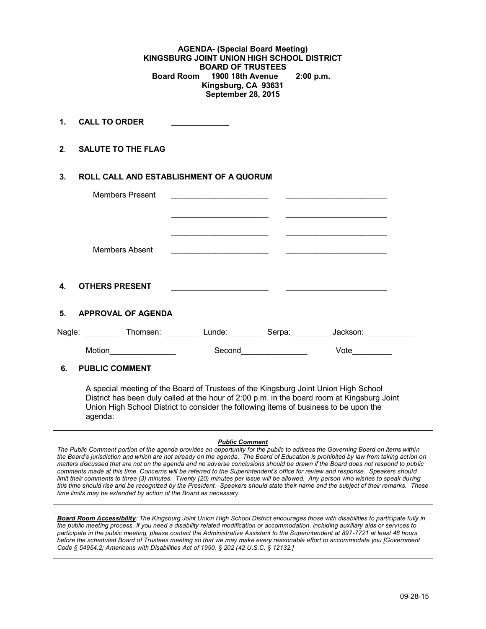**AGENDA- (Special Board Meeting) KINGSBURG JOINT UNION HIGH SCHOOL DISTRICT BOARD OF TRUSTEES Board Room 1900 18th Avenue 2:00 p.m. Kingsburg, CA 93631 September 28, 2015**

**1. CALL TO ORDER** 

**2**. **SALUTE TO THE FLAG**

# **3. ROLL CALL AND ESTABLISHMENT OF A QUORUM**

|    | <b>Members Present</b> |                                                                                                                      |          |  |
|----|------------------------|----------------------------------------------------------------------------------------------------------------------|----------|--|
|    | Members Absent         | <u> 1989 - Johann John Stone, markin film yn y sefydlu yn y gwysiad y ganllawydd y ganllawydd y ganllawydd y gyn</u> |          |  |
| 4. | <b>OTHERS PRESENT</b>  |                                                                                                                      |          |  |
|    | 5. APPROVAL OF AGENDA  |                                                                                                                      |          |  |
|    |                        | Nagle: ___________Thomsen: ___________ Lunde: __________ Serpa: _________                                            | Jackson: |  |
|    | Motion                 | Second                                                                                                               | Vote     |  |

# **6. PUBLIC COMMENT**

A special meeting of the Board of Trustees of the Kingsburg Joint Union High School District has been duly called at the hour of 2:00 p.m. in the board room at Kingsburg Joint Union High School District to consider the following items of business to be upon the agenda:

#### *Public Comment*

*The Public Comment portion of the agenda provides an opportunity for the public to address the Governing Board on items within the Board's jurisdiction and which are not already on the agenda. The Board of Education is prohibited by law from taking action on matters discussed that are not on the agenda and no adverse conclusions should be drawn if the Board does not respond to public comments made at this time. Concerns will be referred to the Superintendent's office for review and response. Speakers should limit their comments to three (3) minutes. Twenty (20) minutes per issue will be allowed. Any person who wishes to speak during this time should rise and be recognized by the President. Speakers should state their name and the subject of their remarks. These time limits may be extended by action of the Board as necessary.*

*Board Room Accessibility: The Kingsburg Joint Union High School District encourages those with disabilities to participate fully in the public meeting process. If you need a disability related modification or accommodation, including auxiliary aids or services to participate in the public meeting, please contact the Administrative Assistant to the Superintendent at 897-7721 at least 48 hours before the scheduled Board of Trustees meeting so that we may make every reasonable effort to accommodate you [Government Code § 54954.2; Americans with Disabilities Act of 1990, § 202 (42 U.S.C. § 12132.]*